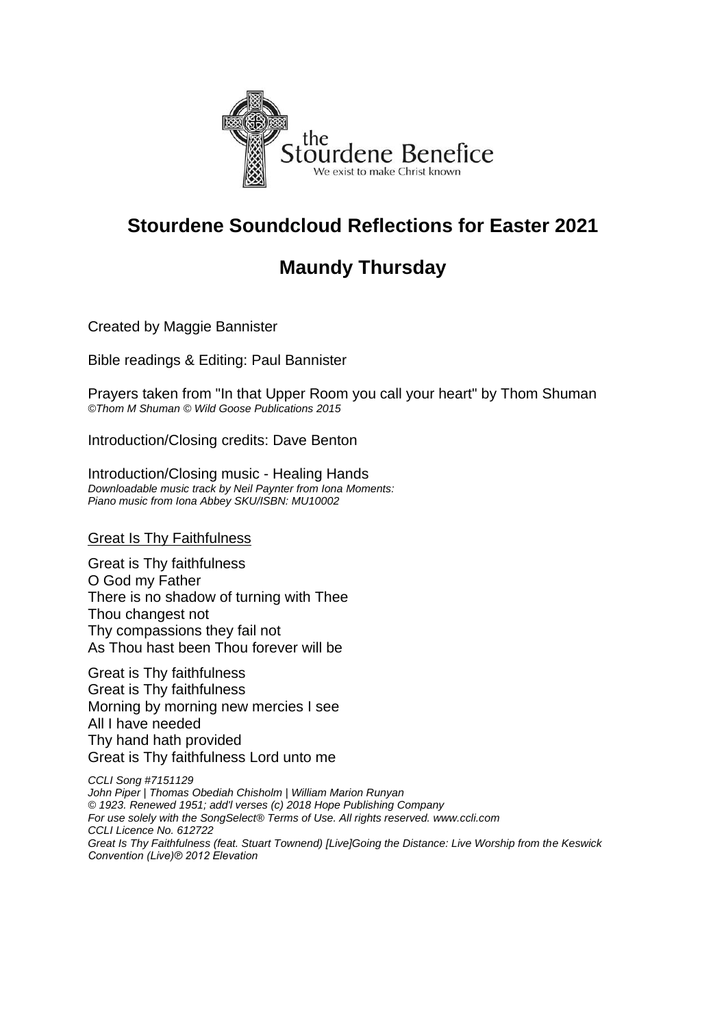

## **Stourdene Soundcloud Reflections for Easter 2021**

## **Maundy Thursday**

Created by Maggie Bannister

Bible readings & Editing: Paul Bannister

Prayers taken from "In that Upper Room you call your heart" by Thom Shuman *©Thom M Shuman © Wild Goose Publications 2015*

Introduction/Closing credits: Dave Benton

Introduction/Closing music - Healing Hands *Downloadable music track by Neil Paynter from Iona Moments: Piano music from Iona Abbey SKU/ISBN: MU10002*

Great Is Thy Faithfulness

Great is Thy faithfulness O God my Father There is no shadow of turning with Thee Thou changest not Thy compassions they fail not As Thou hast been Thou forever will be

Great is Thy faithfulness Great is Thy faithfulness Morning by morning new mercies I see All I have needed Thy hand hath provided Great is Thy faithfulness Lord unto me

*CCLI Song #7151129 John Piper | Thomas Obediah Chisholm | William Marion Runyan © 1923. Renewed 1951; add'l verses (c) 2018 Hope Publishing Company For use solely with the SongSelect® Terms of Use. All rights reserved. www.ccli.com CCLI Licence No. 612722 Great Is Thy Faithfulness (feat. Stuart Townend) [Live]Going the Distance: Live Worship from the Keswick Convention (Live)℗ 2012 Elevation*